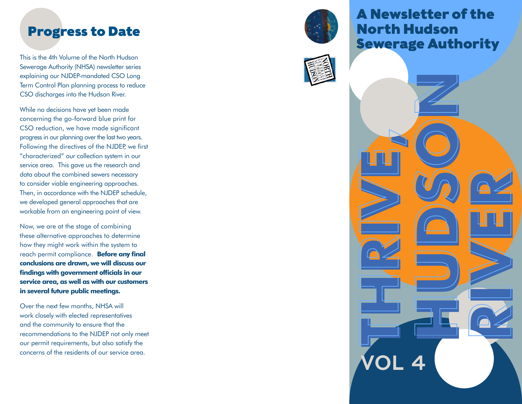This is the 4th Volume of the North Hudson Sewerage Authority (NHSA) newsletter series explaining our NJDEP-mandated CSO Long Term Control Plan planning process to reduce CSO discharges into the Hudson River.

While no decisions have yet been made concerning the go-forward blue print for CSO reduction, we have made significant progress in our planning over the last two years. Following the directives of the NJDEP, we first "characterized" our collection system in our service area. This gave us the research and data about the combined sewers necessary to consider viable engineering approaches. Then, in accordance with the NJDEP schedule, we developed general approaches that are workable from an engineering point of view.

Now, we are at the stage of combining these alternative approaches to determine how they might work within the system to reach permit compliance. **Before any final conclusions are drawn, we will discuss our findings with government officials in our service area, as well as with our customers in several future public meetings.**

Over the next few months, NHSA will work closely with elected representatives and the community to ensure that the recommendations to the NJDEP not only meet our permit requirements, but also satisfy the concerns of the residents of our service area.



# A Newsletter of the North Hudson Progress to Date<br>
Sewerage Authority